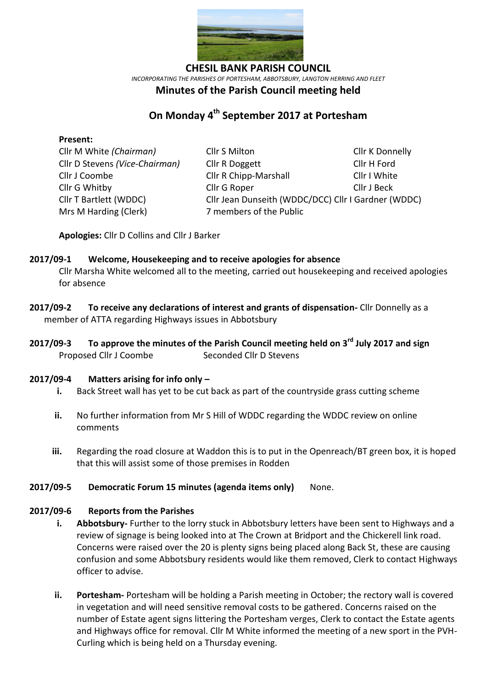

*INCORPORATING THE PARISHES OF PORTESHAM, ABBOTSBURY, LANGTON HERRING AND FLEET*

## **Minutes of the Parish Council meeting held**

# **On Monday 4 th September 2017 at Portesham**

### **Present:**

Mrs M Harding (Clerk)7 members of the Public

Cllr M White *(Chairman)* Cllr S Milton Cllr Cllr K Donnelly Cllr D Stevens *(Vice-Chairman)* Cllr R Doggett Cllr H Ford Cllr J Coombe Cllr R Chipp-Marshall Cllr I White Cllr G Whitby Cllr G Roper Cllr J Beck Cllr T Bartlett (WDDC) Cllr Jean Dunseith (WDDC/DCC) Cllr I Gardner (WDDC)

**Apologies:** Cllr D Collins and Cllr J Barker

### **2017/09-1 Welcome, Housekeeping and to receive apologies for absence**

Cllr Marsha White welcomed all to the meeting, carried out housekeeping and received apologies for absence

- **2017/09-2 To receive any declarations of interest and grants of dispensation-** Cllr Donnelly as a member of ATTA regarding Highways issues in Abbotsbury
- **2017/09-3 To approve the minutes of the Parish Council meeting held on 3 rd July 2017 and sign**  Proposed Cllr J Coombe Seconded Cllr D Stevens

### **2017/09-4 Matters arising for info only –**

- **i.** Back Street wall has yet to be cut back as part of the countryside grass cutting scheme
- **ii.** No further information from Mr S Hill of WDDC regarding the WDDC review on online comments
- **iii.** Regarding the road closure at Waddon this is to put in the Openreach/BT green box, it is hoped that this will assist some of those premises in Rodden

### **2017/09-5 Democratic Forum 15 minutes (agenda items only)** None.

### **2017/09-6 Reports from the Parishes**

- **i. Abbotsbury-** Further to the lorry stuck in Abbotsbury letters have been sent to Highways and a review of signage is being looked into at The Crown at Bridport and the Chickerell link road. Concerns were raised over the 20 is plenty signs being placed along Back St, these are causing confusion and some Abbotsbury residents would like them removed, Clerk to contact Highways officer to advise.
- **ii. Portesham-** Portesham will be holding a Parish meeting in October; the rectory wall is covered in vegetation and will need sensitive removal costs to be gathered. Concerns raised on the number of Estate agent signs littering the Portesham verges, Clerk to contact the Estate agents and Highways office for removal. Cllr M White informed the meeting of a new sport in the PVH-Curling which is being held on a Thursday evening.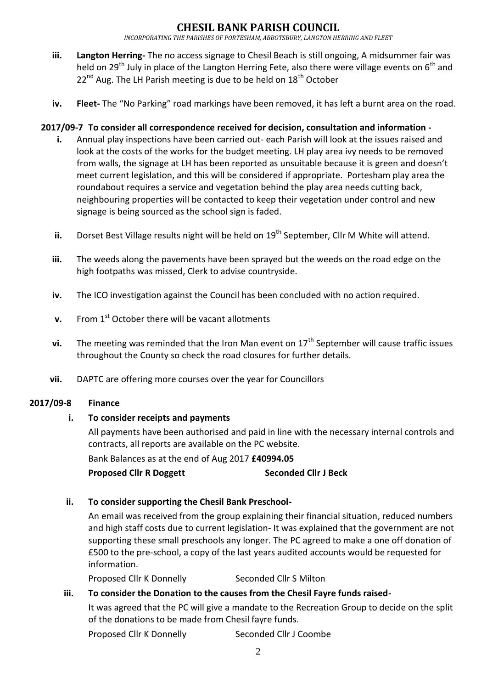## SIL BANK PARISH COUNC

*INCORPORATING THE PARISHES OF PORTESHAM, ABBOTSBURY, LANGTON HERRING AND FLEET*

- **iii. Langton Herring-** The no access signage to Chesil Beach is still ongoing, A midsummer fair was held on 29<sup>th</sup> July in place of the Langton Herring Fete, also there were village events on 6<sup>th</sup> and  $22^{nd}$  Aug. The LH Parish meeting is due to be held on  $18^{th}$  October
- **iv. Fleet-** The "No Parking" road markings have been removed, it has left a burnt area on the road.

### **2017/09-7 To consider all correspondence received for decision, consultation and information -**

- **i.** Annual play inspections have been carried out- each Parish will look at the issues raised and look at the costs of the works for the budget meeting. LH play area ivy needs to be removed from walls, the signage at LH has been reported as unsuitable because it is green and doesn't meet current legislation, and this will be considered if appropriate. Portesham play area the roundabout requires a service and vegetation behind the play area needs cutting back, neighbouring properties will be contacted to keep their vegetation under control and new signage is being sourced as the school sign is faded.
- ii. Dorset Best Village results night will be held on 19<sup>th</sup> September, Cllr M White will attend.
- **iii.** The weeds along the pavements have been sprayed but the weeds on the road edge on the high footpaths was missed, Clerk to advise countryside.
- **iv.** The ICO investigation against the Council has been concluded with no action required.
- **v.** From 1<sup>st</sup> October there will be vacant allotments
- **vi.** The meeting was reminded that the Iron Man event on 17<sup>th</sup> September will cause traffic issues throughout the County so check the road closures for further details.
- **vii.** DAPTC are offering more courses over the year for Councillors

### **2017/09-8 Finance**

### **i. To consider receipts and payments**

All payments have been authorised and paid in line with the necessary internal controls and contracts, all reports are available on the PC website.

Bank Balances as at the end of Aug 2017 **£40994.05**

**Proposed Cllr R Doggett Seconded Cllr J Beck**

### **ii. To consider supporting the Chesil Bank Preschool-**

An email was received from the group explaining their financial situation, reduced numbers and high staff costs due to current legislation- It was explained that the government are not supporting these small preschools any longer. The PC agreed to make a one off donation of £500 to the pre-school, a copy of the last years audited accounts would be requested for information.

Proposed Cllr K Donnelly Seconded Cllr S Milton

### **iii. To consider the Donation to the causes from the Chesil Fayre funds raised-**

It was agreed that the PC will give a mandate to the Recreation Group to decide on the split of the donations to be made from Chesil fayre funds.

Proposed Cllr K Donnelly Seconded Cllr J Coombe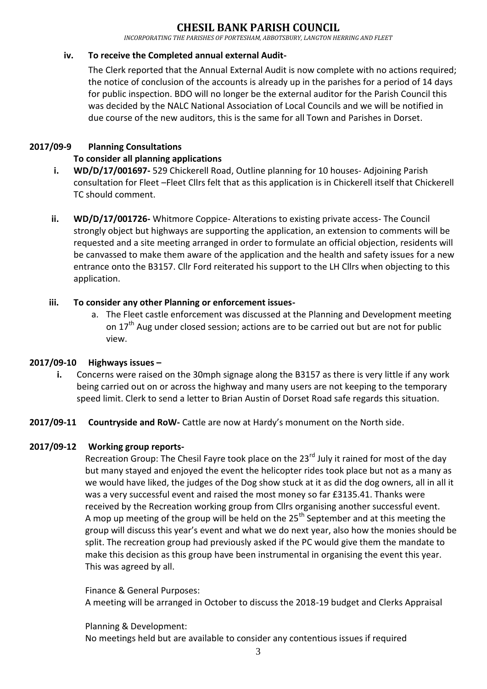## **CHESIL BANK PARISH COUNCIL**

*INCORPORATING THE PARISHES OF PORTESHAM, ABBOTSBURY, LANGTON HERRING AND FLEET*

### **iv. To receive the Completed annual external Audit-**

The Clerk reported that the Annual External Audit is now complete with no actions required; the notice of conclusion of the accounts is already up in the parishes for a period of 14 days for public inspection. BDO will no longer be the external auditor for the Parish Council this was decided by the NALC National Association of Local Councils and we will be notified in due course of the new auditors, this is the same for all Town and Parishes in Dorset.

### **2017/09-9 Planning Consultations**

## **To consider all planning applications**

- **i. WD/D/17/001697-** 529 Chickerell Road, Outline planning for 10 houses- Adjoining Parish consultation for Fleet –Fleet Cllrs felt that as this application is in Chickerell itself that Chickerell TC should comment.
- **ii. WD/D/17/001726-** Whitmore Coppice- Alterations to existing private access- The Council strongly object but highways are supporting the application, an extension to comments will be requested and a site meeting arranged in order to formulate an official objection, residents will be canvassed to make them aware of the application and the health and safety issues for a new entrance onto the B3157. Cllr Ford reiterated his support to the LH Cllrs when objecting to this application.

### **iii. To consider any other Planning or enforcement issues-**

a. The Fleet castle enforcement was discussed at the Planning and Development meeting on  $17<sup>th</sup>$  Aug under closed session; actions are to be carried out but are not for public view.

### **2017/09-10 Highways issues –**

- **i.** Concerns were raised on the 30mph signage along the B3157 as there is very little if any work being carried out on or across the highway and many users are not keeping to the temporary speed limit. Clerk to send a letter to Brian Austin of Dorset Road safe regards this situation.
- **2017/09-11 Countryside and RoW-** Cattle are now at Hardy's monument on the North side.

## **2017/09-12 Working group reports-**

Recreation Group: The Chesil Fayre took place on the  $23<sup>rd</sup>$  July it rained for most of the day but many stayed and enjoyed the event the helicopter rides took place but not as a many as we would have liked, the judges of the Dog show stuck at it as did the dog owners, all in all it was a very successful event and raised the most money so far £3135.41. Thanks were received by the Recreation working group from Cllrs organising another successful event. A mop up meeting of the group will be held on the  $25<sup>th</sup>$  September and at this meeting the group will discuss this year's event and what we do next year, also how the monies should be split. The recreation group had previously asked if the PC would give them the mandate to make this decision as this group have been instrumental in organising the event this year. This was agreed by all.

Finance & General Purposes: A meeting will be arranged in October to discuss the 2018-19 budget and Clerks Appraisal

Planning & Development:

No meetings held but are available to consider any contentious issues if required